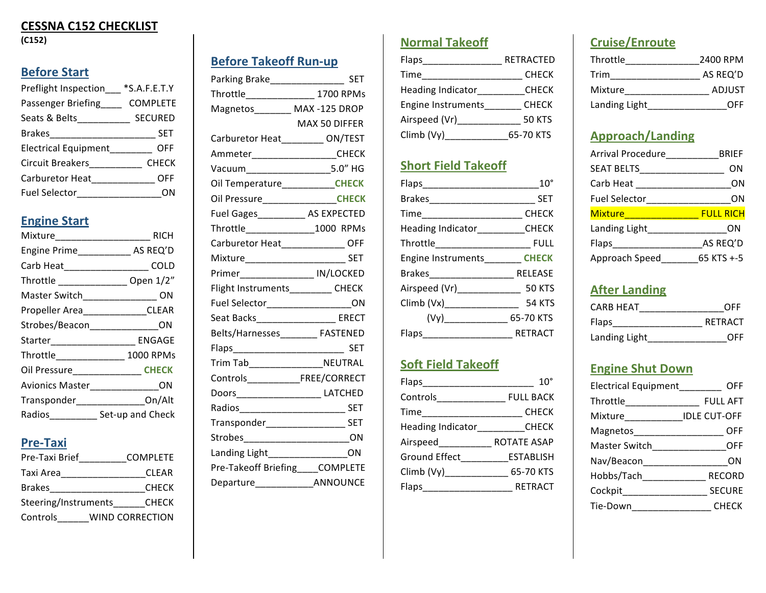## **CESSNA C152 CHECKLIST**

**(C152)**

# **Before Start**

| Preflight Inspection    | $*S.A.F.E.T.Y$  |
|-------------------------|-----------------|
| Passenger Briefing      | <b>COMPLETE</b> |
| Seats & Belts__________ | <b>SECURED</b>  |
| <b>Brakes</b>           | <b>SET</b>      |
| Electrical Equipment    | OFF             |
| <b>Circuit Breakers</b> | <b>CHECK</b>    |
| Carburetor Heat         | OFF.            |
| Fuel Selector           |                 |

## **Engine Start**

| Mixture______________________ | <b>RICH</b>                            |
|-------------------------------|----------------------------------------|
|                               | Engine Prime_____________ AS REQ'D     |
|                               | Carb Heat______________________ COLD   |
|                               | Throttle _________________ Open 1/2"   |
|                               | Master Switch__________________ ON     |
|                               | Propeller Area_____________CLEAR       |
|                               | Strobes/Beacon______________ON         |
|                               | Starter________________________ ENGAGE |
| Throttle_______________       | 1000 RPMs                              |
|                               | Oil Pressure_________________CHECK     |
|                               | Avionics Master_______________ON       |
|                               | Transponder_________________On/Alt     |
|                               | Radios____________ Set-up and Check    |
|                               |                                        |

### **Pre-Taxi**

| Pre-Taxi Brief       | <b>COMPLETE</b> |
|----------------------|-----------------|
| Taxi Area            | <b>CLEAR</b>    |
| Brakes               | <b>CHECK</b>    |
| Steering/Instruments | <b>CHECK</b>    |
| Controls             | WIND CORRECTION |
|                      |                 |

| <b>Before Takeoff Run-up</b> |  |
|------------------------------|--|
|                              |  |

| Parking Brake______________________ SET    |               |
|--------------------------------------------|---------------|
| Throttle__________________ 1700 RPMs       |               |
| Magnetos________ MAX -125 DROP             |               |
|                                            | MAX 50 DIFFFR |
| Carburetor Heat________ ON/TEST            |               |
| Ammeter____________________CHECK           |               |
| Vacuum___________________5.0" HG           |               |
| Oil Temperature____________CHECK           |               |
| Oil Pressure_________________CHECK         |               |
| Fuel Gages____________ AS EXPECTED         |               |
| Throttle______________1000 RPMs            |               |
| Carburetor Heat_______________ OFF         |               |
| Mixture_______________________________ SET |               |
| Primer_________________ IN/LOCKED          |               |
| Flight Instruments__________ CHECK         |               |
| Fuel Selector_____________________ON       |               |
| Seat Backs____________________ ERECT       |               |
| Belts/Harnesses________ FASTENED           |               |
|                                            |               |
| Trim Tab____________________NEUTRAL        |               |
| Controls____________________FREE/CORRECT   |               |
| Doors_____________________ LATCHED         |               |
| Radios_______________________________ SET  |               |
| Transponder______________________ SET      |               |
| Strobes________________________________ON  |               |
| Landing Light__________________ON          |               |
| Pre-Takeoff Briefing____COMPLETE           |               |
| Departure________________ANNOUNCE          |               |

## **Normal Takeoff**

| Flaps_                   | RETRACTED     |
|--------------------------|---------------|
| Time                     | <b>CHECK</b>  |
| <b>Heading Indicator</b> | <b>CHECK</b>  |
| Engine Instruments       | <b>CHECK</b>  |
| Airspeed (Vr)_           | <b>50 KTS</b> |
| Climb (Vy)               | 65-70 KTS     |
|                          |               |

## **Short Field Takeoff**

| <b>SET</b>                      |
|---------------------------------|
| <b>CHECK</b>                    |
| Heading Indicator <b>CHECK</b>  |
|                                 |
| Engine Instruments <b>CHECK</b> |
|                                 |
|                                 |
| <b>54 KTS</b>                   |
| $(Vy)$ 65-70 KTS                |
| RETRACT                         |
|                                 |

## **Soft Field Takeoff**

|                                | $10^{\circ}$     |
|--------------------------------|------------------|
| Controls <b>Controls</b>       | <b>FULL BACK</b> |
| Time                           | <b>CHECK</b>     |
| Heading Indicator <b>CHECK</b> |                  |
| Airspeed                       | ROTATE ASAP      |
| Ground Effect                  | <b>ESTABLISH</b> |
| Climb (Vy)_______________      | 65-70 KTS        |
| Flaps                          | <b>RETRACT</b>   |
|                                |                  |

# **Cruise/Enroute**

| Throttle      | 2400 RPM      |
|---------------|---------------|
| Trim          | AS REQ'D      |
| Mixture       | <b>ADJUST</b> |
| Landing Light | OFF           |

## **Approach/Landing**

| Arrival Procedure    | BRIEF            |
|----------------------|------------------|
| SEAT BELTS           | ON               |
| Carb Heat            | ΟN               |
| <b>Fuel Selector</b> | ΟN               |
| <b>Mixture</b>       | <b>FULL RICH</b> |
| Landing Light        | ON               |
| Flaps                | AS REQ'D         |
| Approach Speed       | 65 KTS +-5       |

## **After Landing**

| CARB HFAT     | OFF     |
|---------------|---------|
| <b>Flaps</b>  | RETRACT |
| Landing Light | OFF     |

## **Engine Shut Down**

| Electrical Equipment         | OFF                 |
|------------------------------|---------------------|
|                              | <b>FULL AFT</b>     |
| Mixture____________          | <b>IDLE CUT-OFF</b> |
| Magnetos                     | OFF                 |
| Master Switch ______________ | OFF                 |
| Nav/Beacon                   | ΩN                  |
| Hobbs/Tach____________       | <b>RECORD</b>       |
| Cockpit_______________       | <b>SECURE</b>       |
| Tie-Down                     | <b>CHECK</b>        |